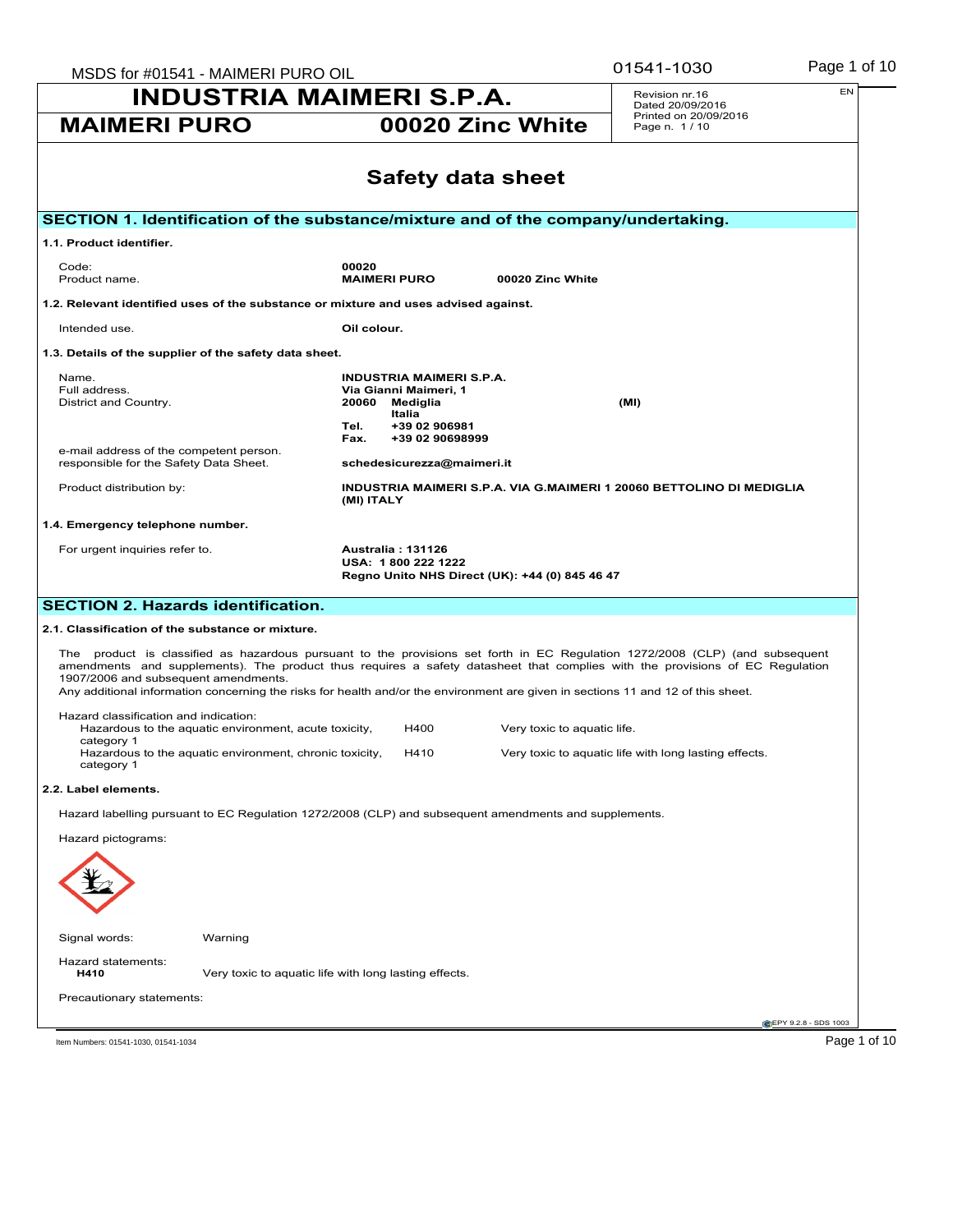| MSDS for #01541 - MAIMERI PURO OIL                                                                                                                                                                                                                                                                                                                                                                                                       |                                                                                                                                             | 01541-1030                         | Page 1 of 10                                                         |                              |
|------------------------------------------------------------------------------------------------------------------------------------------------------------------------------------------------------------------------------------------------------------------------------------------------------------------------------------------------------------------------------------------------------------------------------------------|---------------------------------------------------------------------------------------------------------------------------------------------|------------------------------------|----------------------------------------------------------------------|------------------------------|
| <b>INDUSTRIA MAIMERI S.P.A.</b>                                                                                                                                                                                                                                                                                                                                                                                                          |                                                                                                                                             | Revision nr.16<br>Dated 20/09/2016 | EN                                                                   |                              |
| <b>MAIMERI PURO</b>                                                                                                                                                                                                                                                                                                                                                                                                                      | 00020 Zinc White                                                                                                                            |                                    | Printed on 20/09/2016<br>Page n. 1/10                                |                              |
|                                                                                                                                                                                                                                                                                                                                                                                                                                          | <b>Safety data sheet</b>                                                                                                                    |                                    |                                                                      |                              |
|                                                                                                                                                                                                                                                                                                                                                                                                                                          |                                                                                                                                             |                                    |                                                                      |                              |
| SECTION 1. Identification of the substance/mixture and of the company/undertaking.                                                                                                                                                                                                                                                                                                                                                       |                                                                                                                                             |                                    |                                                                      |                              |
| 1.1. Product identifier.                                                                                                                                                                                                                                                                                                                                                                                                                 |                                                                                                                                             |                                    |                                                                      |                              |
| Code:<br>Product name.                                                                                                                                                                                                                                                                                                                                                                                                                   | 00020<br><b>MAIMERI PURO</b>                                                                                                                | 00020 Zinc White                   |                                                                      |                              |
| 1.2. Relevant identified uses of the substance or mixture and uses advised against.                                                                                                                                                                                                                                                                                                                                                      |                                                                                                                                             |                                    |                                                                      |                              |
| Intended use.                                                                                                                                                                                                                                                                                                                                                                                                                            | Oil colour.                                                                                                                                 |                                    |                                                                      |                              |
| 1.3. Details of the supplier of the safety data sheet.                                                                                                                                                                                                                                                                                                                                                                                   |                                                                                                                                             |                                    |                                                                      |                              |
| Name.<br>Full address.<br>District and Country.<br>e-mail address of the competent person.                                                                                                                                                                                                                                                                                                                                               | <b>INDUSTRIA MAIMERI S.P.A.</b><br>Via Gianni Maimeri, 1<br>20060<br>Mediglia<br>Italia<br>Tel.<br>+39 02 906981<br>+39 02 90698999<br>Fax. |                                    | (MI)                                                                 |                              |
| responsible for the Safety Data Sheet.<br>Product distribution by:                                                                                                                                                                                                                                                                                                                                                                       | schedesicurezza@maimeri.it                                                                                                                  |                                    | INDUSTRIA MAIMERI S.P.A. VIA G.MAIMERI 1 20060 BETTOLINO DI MEDIGLIA |                              |
|                                                                                                                                                                                                                                                                                                                                                                                                                                          | (MI) ITALY                                                                                                                                  |                                    |                                                                      |                              |
| 1.4. Emergency telephone number.                                                                                                                                                                                                                                                                                                                                                                                                         |                                                                                                                                             |                                    |                                                                      |                              |
| For urgent inquiries refer to.                                                                                                                                                                                                                                                                                                                                                                                                           | <b>Australia: 131126</b><br>USA: 1800 222 1222<br>Regno Unito NHS Direct (UK): +44 (0) 845 46 47                                            |                                    |                                                                      |                              |
| <b>SECTION 2. Hazards identification.</b>                                                                                                                                                                                                                                                                                                                                                                                                |                                                                                                                                             |                                    |                                                                      |                              |
| 2.1. Classification of the substance or mixture.                                                                                                                                                                                                                                                                                                                                                                                         |                                                                                                                                             |                                    |                                                                      |                              |
| The product is classified as hazardous pursuant to the provisions set forth in EC Regulation 1272/2008 (CLP) (and subsequent<br>amendments and supplements). The product thus requires a safety datasheet that complies with the provisions of EC Regulation<br>1907/2006 and subsequent amendments.<br>Any additional information concerning the risks for health and/or the environment are given in sections 11 and 12 of this sheet. |                                                                                                                                             |                                    |                                                                      |                              |
| Hazard classification and indication:                                                                                                                                                                                                                                                                                                                                                                                                    |                                                                                                                                             |                                    |                                                                      |                              |
| Hazardous to the aquatic environment, acute toxicity,<br>category 1<br>Hazardous to the aquatic environment, chronic toxicity,<br>category 1                                                                                                                                                                                                                                                                                             | H400<br>H410                                                                                                                                | Very toxic to aquatic life.        | Very toxic to aquatic life with long lasting effects.                |                              |
| 2.2. Label elements.                                                                                                                                                                                                                                                                                                                                                                                                                     |                                                                                                                                             |                                    |                                                                      |                              |
| Hazard labelling pursuant to EC Regulation 1272/2008 (CLP) and subsequent amendments and supplements.                                                                                                                                                                                                                                                                                                                                    |                                                                                                                                             |                                    |                                                                      |                              |
| Hazard pictograms:                                                                                                                                                                                                                                                                                                                                                                                                                       |                                                                                                                                             |                                    |                                                                      |                              |
| Signal words:<br>Warning                                                                                                                                                                                                                                                                                                                                                                                                                 |                                                                                                                                             |                                    |                                                                      |                              |
| Hazard statements:<br>H410                                                                                                                                                                                                                                                                                                                                                                                                               | Very toxic to aquatic life with long lasting effects.                                                                                       |                                    |                                                                      |                              |
| Precautionary statements:                                                                                                                                                                                                                                                                                                                                                                                                                |                                                                                                                                             |                                    |                                                                      |                              |
|                                                                                                                                                                                                                                                                                                                                                                                                                                          |                                                                                                                                             |                                    |                                                                      | <b>@EPY 9.2.8 - SDS 1003</b> |
| Item Numbers: 01541-1030, 01541-1034                                                                                                                                                                                                                                                                                                                                                                                                     |                                                                                                                                             |                                    |                                                                      | Page 1 of 10                 |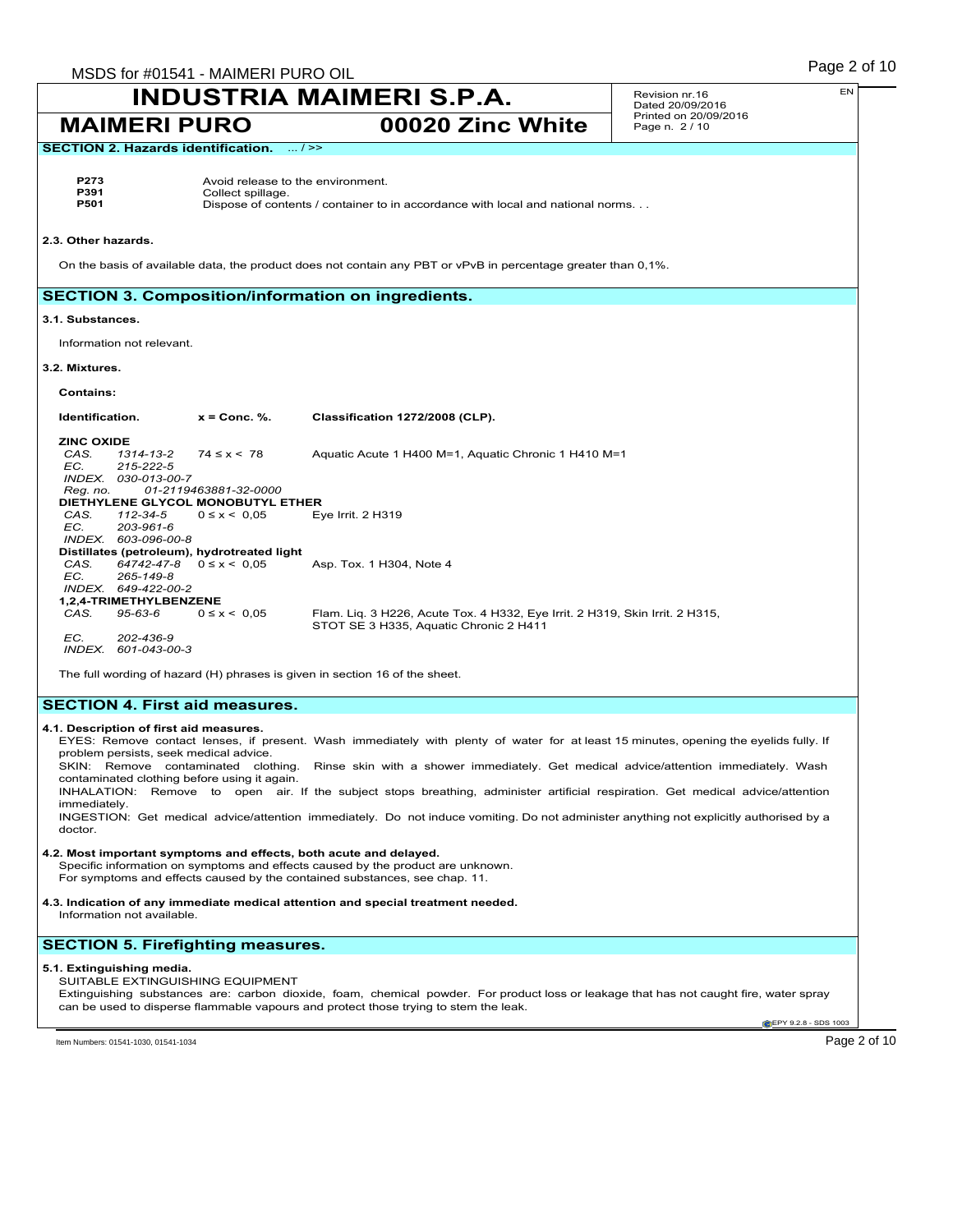| MSDS for #01541 - MAIMERI PURO OIL                                                                                                                            |                                                                                                                                        |  | Page 2 of 10                             |
|---------------------------------------------------------------------------------------------------------------------------------------------------------------|----------------------------------------------------------------------------------------------------------------------------------------|--|------------------------------------------|
|                                                                                                                                                               | INDUSTRIA MAIMERI S.P.A.                                                                                                               |  | EN<br>Revision nr.16<br>Dated 20/09/2016 |
| <b>MAIMERI PURO</b>                                                                                                                                           | 00020 Zinc White                                                                                                                       |  | Printed on 20/09/2016<br>Page n. 2 / 10  |
| <b>SECTION 2. Hazards identification.</b>                                                                                                                     | $\dots/$ >>                                                                                                                            |  |                                          |
|                                                                                                                                                               |                                                                                                                                        |  |                                          |
| P273<br>P391<br>Collect spillage.                                                                                                                             | Avoid release to the environment.                                                                                                      |  |                                          |
| P501                                                                                                                                                          | Dispose of contents / container to in accordance with local and national norms.                                                        |  |                                          |
| 2.3. Other hazards.                                                                                                                                           |                                                                                                                                        |  |                                          |
|                                                                                                                                                               | On the basis of available data, the product does not contain any PBT or vPvB in percentage greater than 0,1%.                          |  |                                          |
| <b>SECTION 3. Composition/information on ingredients.</b>                                                                                                     |                                                                                                                                        |  |                                          |
| 3.1. Substances.                                                                                                                                              |                                                                                                                                        |  |                                          |
| Information not relevant.                                                                                                                                     |                                                                                                                                        |  |                                          |
| 3.2. Mixtures.                                                                                                                                                |                                                                                                                                        |  |                                          |
| <b>Contains:</b>                                                                                                                                              |                                                                                                                                        |  |                                          |
| Identification.<br>$x =$ Conc. %.                                                                                                                             | Classification 1272/2008 (CLP).                                                                                                        |  |                                          |
| <b>ZINC OXIDE</b>                                                                                                                                             |                                                                                                                                        |  |                                          |
| CAS.<br>$74 \le x \le 78$<br>1314-13-2<br>EC.<br>215-222-5                                                                                                    | Aquatic Acute 1 H400 M=1, Aquatic Chronic 1 H410 M=1                                                                                   |  |                                          |
| INDEX. 030-013-00-7                                                                                                                                           |                                                                                                                                        |  |                                          |
| Reg. no.<br>01-2119463881-32-0000                                                                                                                             |                                                                                                                                        |  |                                          |
| DIETHYLENE GLYCOL MONOBUTYL ETHER<br>CAS.<br>112-34-5<br>$0 \le x \le 0.05$                                                                                   | Eye Irrit. $2$ H $319$                                                                                                                 |  |                                          |
| EC.<br>203-961-6                                                                                                                                              |                                                                                                                                        |  |                                          |
| INDEX. 603-096-00-8<br>Distillates (petroleum), hydrotreated light                                                                                            |                                                                                                                                        |  |                                          |
| $64742 - 47 - 8$ $0 \le x < 0.05$<br>CAS.                                                                                                                     | Asp. Tox. 1 H304, Note 4                                                                                                               |  |                                          |
| EC.<br>265-149-8                                                                                                                                              |                                                                                                                                        |  |                                          |
| INDEX. 649-422-00-2<br>1,2,4-TRIMETHYLBENZENE                                                                                                                 |                                                                                                                                        |  |                                          |
| CAS.<br>95-63-6<br>$0 \le x \le 0.05$                                                                                                                         | Flam. Liq. 3 H226, Acute Tox. 4 H332, Eye Irrit. 2 H319, Skin Irrit. 2 H315,                                                           |  |                                          |
|                                                                                                                                                               | STOT SE 3 H335, Aquatic Chronic 2 H411                                                                                                 |  |                                          |
| EC.<br>202-436-9<br>INDEX. 601-043-00-3                                                                                                                       |                                                                                                                                        |  |                                          |
| The full wording of hazard (H) phrases is given in section 16 of the sheet.                                                                                   |                                                                                                                                        |  |                                          |
| <b>SECTION 4. First aid measures.</b>                                                                                                                         |                                                                                                                                        |  |                                          |
| 4.1. Description of first aid measures.                                                                                                                       |                                                                                                                                        |  |                                          |
| problem persists, seek medical advice.                                                                                                                        | EYES: Remove contact lenses, if present. Wash immediately with plenty of water for at least 15 minutes, opening the eyelids fully. If  |  |                                          |
|                                                                                                                                                               | SKIN: Remove contaminated clothing. Rinse skin with a shower immediately. Get medical advice/attention immediately. Wash               |  |                                          |
| contaminated clothing before using it again.                                                                                                                  |                                                                                                                                        |  |                                          |
| immediately.                                                                                                                                                  | INHALATION: Remove to open air. If the subject stops breathing, administer artificial respiration. Get medical advice/attention        |  |                                          |
| doctor.                                                                                                                                                       | INGESTION: Get medical advice/attention immediately. Do not induce vomiting. Do not administer anything not explicitly authorised by a |  |                                          |
| 4.2. Most important symptoms and effects, both acute and delayed.                                                                                             |                                                                                                                                        |  |                                          |
| Specific information on symptoms and effects caused by the product are unknown.<br>For symptoms and effects caused by the contained substances, see chap. 11. |                                                                                                                                        |  |                                          |
|                                                                                                                                                               |                                                                                                                                        |  |                                          |
| 4.3. Indication of any immediate medical attention and special treatment needed.<br>Information not available.                                                |                                                                                                                                        |  |                                          |
| <b>SECTION 5. Firefighting measures.</b>                                                                                                                      |                                                                                                                                        |  |                                          |
| 5.1. Extinguishing media.                                                                                                                                     |                                                                                                                                        |  |                                          |
| SUITABLE EXTINGUISHING EQUIPMENT                                                                                                                              | Extinguishing substances are: carbon dioxide, foam, chemical powder. For product loss or leakage that has not caught fire, water spray |  |                                          |
|                                                                                                                                                               | can be used to disperse flammable vapours and protect those trying to stem the leak.                                                   |  |                                          |

EPY 9.2.8 - SDS 1003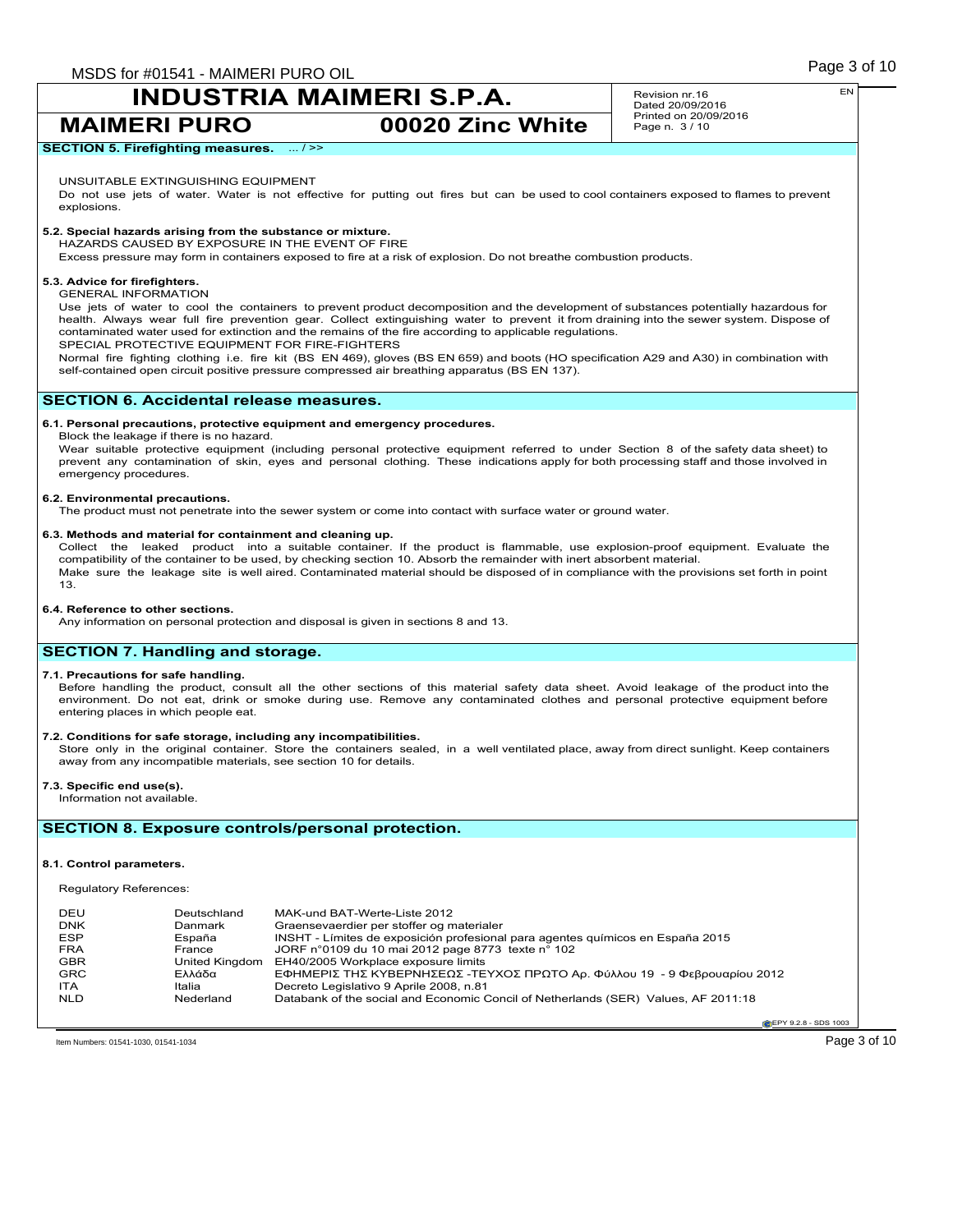**MAIMERI PURO 00020 Zinc White**

Revision nr.16 Dated 20/09/2016 Printed on 20/09/2016 Page n. 3 / 10

**SECTION 5. Firefighting measures.** ... / >>

### UNSUITABLE EXTINGUISHING EQUIPMENT

Do not use jets of water. Water is not effective for putting out fires but can be used to cool containers exposed to flames to prevent explosions.

### **5.2. Special hazards arising from the substance or mixture.**

HAZARDS CAUSED BY EXPOSURE IN THE EVENT OF FIRE

Excess pressure may form in containers exposed to fire at a risk of explosion. Do not breathe combustion products.

### **5.3. Advice for firefighters.**

#### GENERAL INFORMATION

Use jets of water to cool the containers to prevent product decomposition and the development of substances potentially hazardous for health. Always wear full fire prevention gear. Collect extinguishing water to prevent it from draining into the sewer system. Dispose of contaminated water used for extinction and the remains of the fire according to applicable regulations. SPECIAL PROTECTIVE EQUIPMENT FOR FIRE-FIGHTERS

Normal fire fighting clothing i.e. fire kit (BS EN 469), gloves (BS EN 659) and boots (HO specification A29 and A30) in combination with self-contained open circuit positive pressure compressed air breathing apparatus (BS EN 137).

### **SECTION 6. Accidental release measures.**

### **6.1. Personal precautions, protective equipment and emergency procedures.**

Block the leakage if there is no hazard.

Wear suitable protective equipment (including personal protective equipment referred to under Section 8 of the safety data sheet) to prevent any contamination of skin, eyes and personal clothing. These indications apply for both processing staff and those involved in emergency procedures.

### **6.2. Environmental precautions.**

The product must not penetrate into the sewer system or come into contact with surface water or ground water.

**6.3. Methods and material for containment and cleaning up.**<br>Collect the leaked product into a suitable container. If the product is flammable, use explosion-proof equipment. Evaluate the compatibility of the container to be used, by checking section 10. Absorb the remainder with inert absorbent material. Make sure the leakage site is well aired. Contaminated material should be disposed of in compliance with the provisions set forth in point 13.

### **6.4. Reference to other sections.**

Any information on personal protection and disposal is given in sections 8 and 13.

## **SECTION 7. Handling and storage.**

#### **7.1. Precautions for safe handling.**

Before handling the product, consult all the other sections of this material safety data sheet. Avoid leakage of the product into the environment. Do not eat, drink or smoke during use. Remove any contaminated clothes and personal protective equipment before entering places in which people eat.

### **7.2. Conditions for safe storage, including any incompatibilities.**

Store only in the original container. Store the containers sealed, in a well ventilated place, away from direct sunlight. Keep containers away from any incompatible materials, see section 10 for details.

**7.3. Specific end use(s).**

### Information not available.

### **SECTION 8. Exposure controls/personal protection.**

#### **8.1. Control parameters.**

Regulatory References:

| DEU        | Deutschland    | MAK-und BAT-Werte-Liste 2012                                                       |
|------------|----------------|------------------------------------------------------------------------------------|
| <b>DNK</b> | Danmark        | Graensevaerdier per stoffer og materialer                                          |
| <b>ESP</b> | España         | INSHT - Límites de exposición profesional para agentes químicos en España 2015     |
| <b>FRA</b> | France         | JORF n°0109 du 10 mai 2012 page 8773 texte n° 102                                  |
| <b>GBR</b> | United Kingdom | EH40/2005 Workplace exposure limits                                                |
| <b>GRC</b> | Ελλάδα         | ΕΦΗΜΕΡΙΣ ΤΗΣ ΚΥΒΕΡΝΗΣΕΩΣ -ΤΕΥΧΟΣ ΠΡΩΤΟ Αρ. Φύλλου 19 - 9 Φεβρουαρίου 2012          |
| <b>ITA</b> | Italia         | Decreto Legislativo 9 Aprile 2008, n.81                                            |
| <b>NLD</b> | Nederland      | Databank of the social and Economic Concil of Netherlands (SER) Values, AF 2011:18 |

**EPY 9.2.8 - SDS 1003** 

Item Numbers: 01541-1030, 01541-1034 Page 3 of 10

EN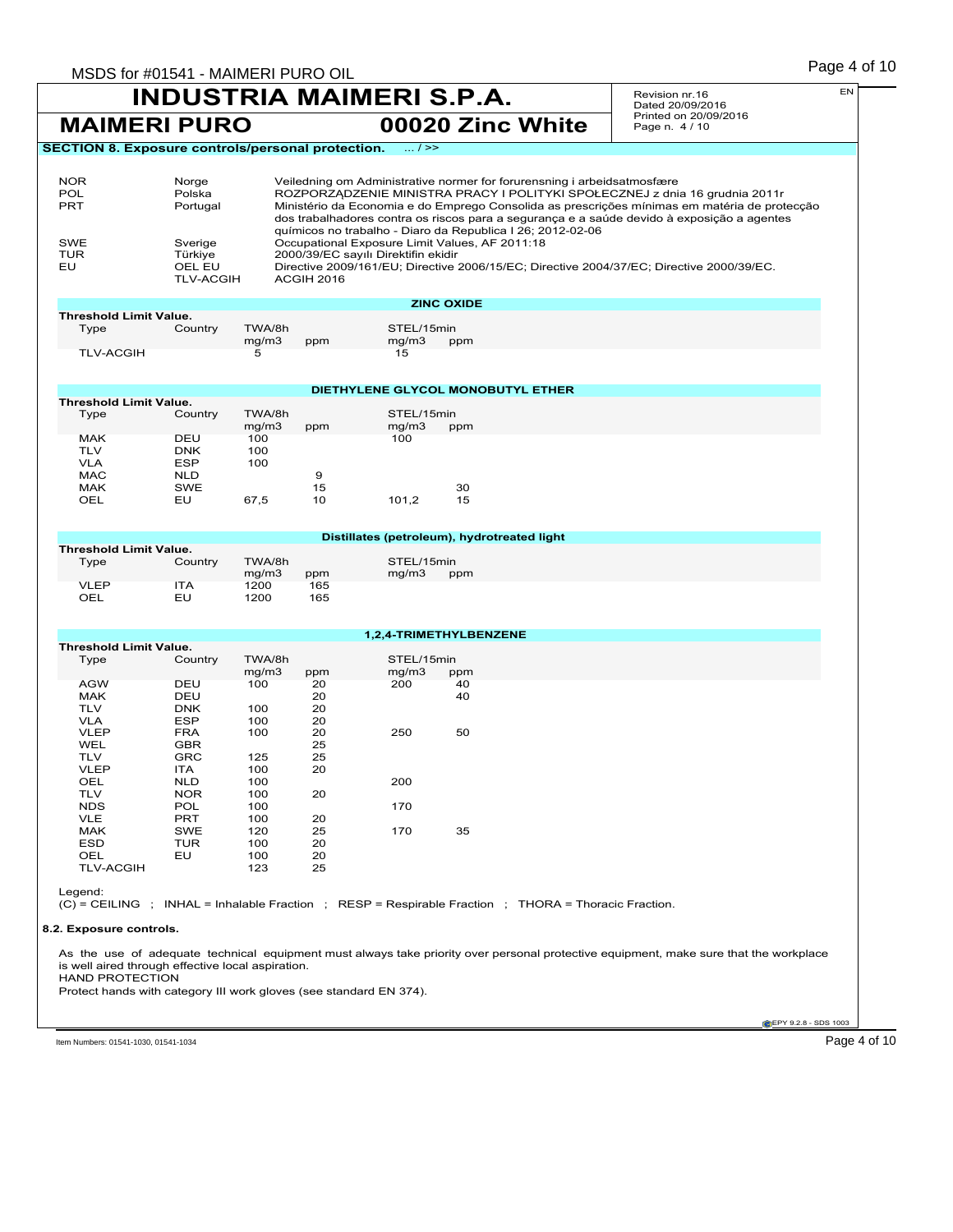### Page 4 of 10 MSDS for #01541 - MAIMERI PURO OIL **INDUSTRIA MAIMERI S.P.A. MAIMERI PURO 00020 Zinc White** Revision nr.16 Dated 20/09/2016 Printed on 20/09/2016 Page n. 4 / 10 EN **CEPY 9.2.8 - SDS 1003 SECTION 8. Exposure controls/personal protection.** ... / >> NOR Norge Veiledning om Administrative normer for forurensning i arbeidsatmosfære<br>
POL Polska ROZPORZADZENIE MINISTRA PRACY I POLITYKI SPOŁECZNEJ z dni POL POlska ROZPORZĄDZENIE MINISTRA PRACY I POLITYKI SPOŁECZNEJ z dnia 16 grudnia 2011r<br>PRT PRT Portugal Ministério da Economia e do Emprego Consolida as prescrições mínimas em matéria de prot Ministério da Economia e do Emprego Consolida as prescrições mínimas em matéria de protecção dos trabalhadores contra os riscos para a segurança e a saúde devido à exposição a agentes químicos no trabalho - Diaro da Republica I 26; 2012-02-06 SWE Sverige Occupational Exposure Limit Values, AF 2011:18<br>TUR Türkiye 2000/39/EC sayılı Direktifin ekidir TUR Türkiye 2000/39/EC sayılı Direktifin ekidir<br>EU OEL EU Directive 2009/161/EU; Directive OEL EU Directive 2009/161/EU; Directive 2006/15/EC; Directive 2004/37/EC; Directive 2000/39/EC.<br>TLV-ACGIH ACGIH 2016 **ACGIH 2016 ZINC OXIDE Threshold Limit Value.**<br>Type Country Type Country TWA/8h STEL/15min<br>mg/m3 ppm mg/m3 ppm mg/m $3$ <br>15 TLV-ACGIH 5 **DIETHYLENE GLYCOL MONOBUTYL ETHER Threshold Limit Value.**<br>Type Country TWA/8h STEL/15min<br>mg/m3 ppm mg/m3 p mg/m3 ppm mg/m3 ppm MAK DEU 100 100 100 TLV DNK 100<br>VLA ESP 100 VLA ESP<br>MAC NLD MAC NLD 9 MAK SWE 15 30 OEL EU 67,5 10 101,2 15 **Distillates (petroleum), hydrotreated light Threshold Limit Value.**<br>Type Country TWA/8h STEL/15min<br>mg/m3 ppm mg/m3 p mg/m3 ppm mg/m3 ppm<br>1200 165 VLEP ITA 1200 165 OEL EU 1200 165 **1,2,4-TRIMETHYLBENZENE Threshold Limit Value.**<br>Type Country TWA/8h STEL/15min mg/m3 ppm mg/m3 ppm<br>100 20 200 40 AGW DEU 100 20 200 40 MAK DEU 20 40 TLV DNK 100 20 VLA ESP 100 20 VLEP FRA 100 20 250 50 WEL GBR 25 TLV GRC 125 25 VLEP ITA 100 20 OEL NLD 100 200 TLV NOR 100 20 NDS POL 100 170 VLE PRT 100 20 MAK SWE 120 25 170 35 ESD TUR 100 20 OEL EU 100 20 TLV-ACGIH 123 25 Legend: (C) = CEILING ; INHAL = Inhalable Fraction ; RESP = Respirable Fraction ; THORA = Thoracic Fraction. **8.2. Exposure controls.** As the use of adequate technical equipment must always take priority over personal protective equipment, make sure that the workplace is well aired through effective local aspiration. HAND PROTECTION Protect hands with category III work gloves (see standard EN 374).

Item Numbers: 01541-1030, 01541-1034 Page 4 of 10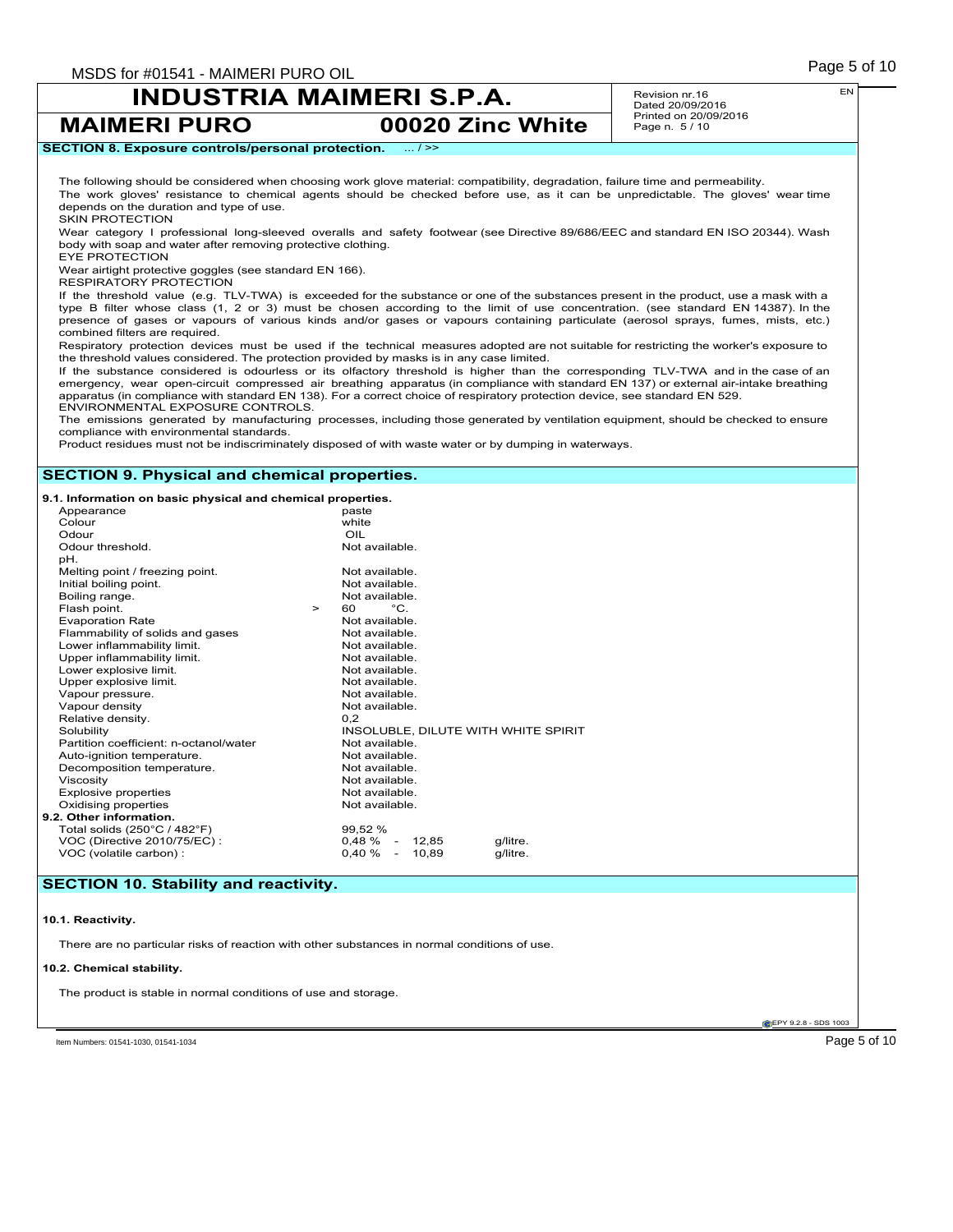**MAIMERI PURO 00020 Zinc White**

Revision nr.16 Dated 20/09/2016 Printed on 20/09/2016 Page n. 5 / 10

EN

### **SECTION 8. Exposure controls/personal protection.** ... / >> The following should be considered when choosing work glove material: compatibility, degradation, failure time and permeability. The work gloves' resistance to chemical agents should be checked before use, as it can be unpredictable. The gloves' wear time depends on the duration and type of use. SKIN PROTECTION

Wear category I professional long-sleeved overalls and safety footwear (see Directive 89/686/EEC and standard EN ISO 20344). Wash body with soap and water after removing protective clothing.

EYE PROTECTION

Wear airtight protective goggles (see standard EN 166).

RESPIRATORY PROTECTION

If the threshold value (e.g. TLV-TWA) is exceeded for the substance or one of the substances present in the product, use a mask with a type B filter whose class (1, 2 or 3) must be chosen according to the limit of use concentration. (see standard EN 14387). In the presence of gases or vapours of various kinds and/or gases or vapours containing particulate (aerosol sprays, fumes, mists, etc.) combined filters are required.

Respiratory protection devices must be used if the technical measures adopted are not suitable for restricting the worker's exposure to the threshold values considered. The protection provided by masks is in any case limited.

If the substance considered is odourless or its olfactory threshold is higher than the corresponding TLV-TWA and in the case of an emergency, wear open-circuit compressed air breathing apparatus (in compliance with standard EN 137) or external air-intake breathing<br>apparatus (in compliance with standard EN 138). For a correct choice of respiratory prot ENVIRONMENTAL EXPOSURE CONTROLS.

The emissions generated by manufacturing processes, including those generated by ventilation equipment, should be checked to ensure compliance with environmental standards.

Product residues must not be indiscriminately disposed of with waste water or by dumping in waterways.

### **SECTION 9. Physical and chemical properties.**

**9.1. Information on basic physical and chemical properties.**

| Appearance                                   | paste                               |
|----------------------------------------------|-------------------------------------|
| Colour                                       | white                               |
| Odour                                        | OIL                                 |
| Odour threshold.                             | Not available.                      |
| pH.                                          |                                     |
| Melting point / freezing point.              | Not available.                      |
| Initial boiling point.                       | Not available.                      |
| Boiling range.                               | Not available.                      |
| Flash point.<br>$\geq$                       | $^{\circ}$ C.<br>60                 |
| <b>Evaporation Rate</b>                      | Not available.                      |
| Flammability of solids and gases             | Not available.                      |
| Lower inflammability limit.                  | Not available.                      |
| Upper inflammability limit.                  | Not available.                      |
| Lower explosive limit.                       | Not available.                      |
| Upper explosive limit.                       | Not available.                      |
| Vapour pressure.                             | Not available.                      |
| Vapour density                               | Not available.                      |
| Relative density.                            | 0.2                                 |
| Solubility                                   | INSOLUBLE, DILUTE WITH WHITE SPIRIT |
| Partition coefficient: n-octanol/water       | Not available.                      |
| Auto-ignition temperature.                   | Not available.                      |
| Decomposition temperature.                   | Not available.                      |
| Viscosity                                    | Not available.                      |
| <b>Explosive properties</b>                  | Not available.                      |
| Oxidising properties                         | Not available.                      |
| 9.2. Other information.                      |                                     |
| Total solids $(250^{\circ}C / 482^{\circ}F)$ | 99,52 %                             |
| VOC (Directive 2010/75/EC):                  | $0,48\% - 12,85$<br>g/litre.        |
| VOC (volatile carbon) :                      | $0,40\%$ - 10,89<br>g/litre.        |
|                                              |                                     |

## **SECTION 10. Stability and reactivity.**

**10.1. Reactivity.**

There are no particular risks of reaction with other substances in normal conditions of use.

### **10.2. Chemical stability.**

The product is stable in normal conditions of use and storage.

**EPY 9.2.8 - SDS 1003** 

Item Numbers: 01541-1030, 01541-1034 Page 5 of 10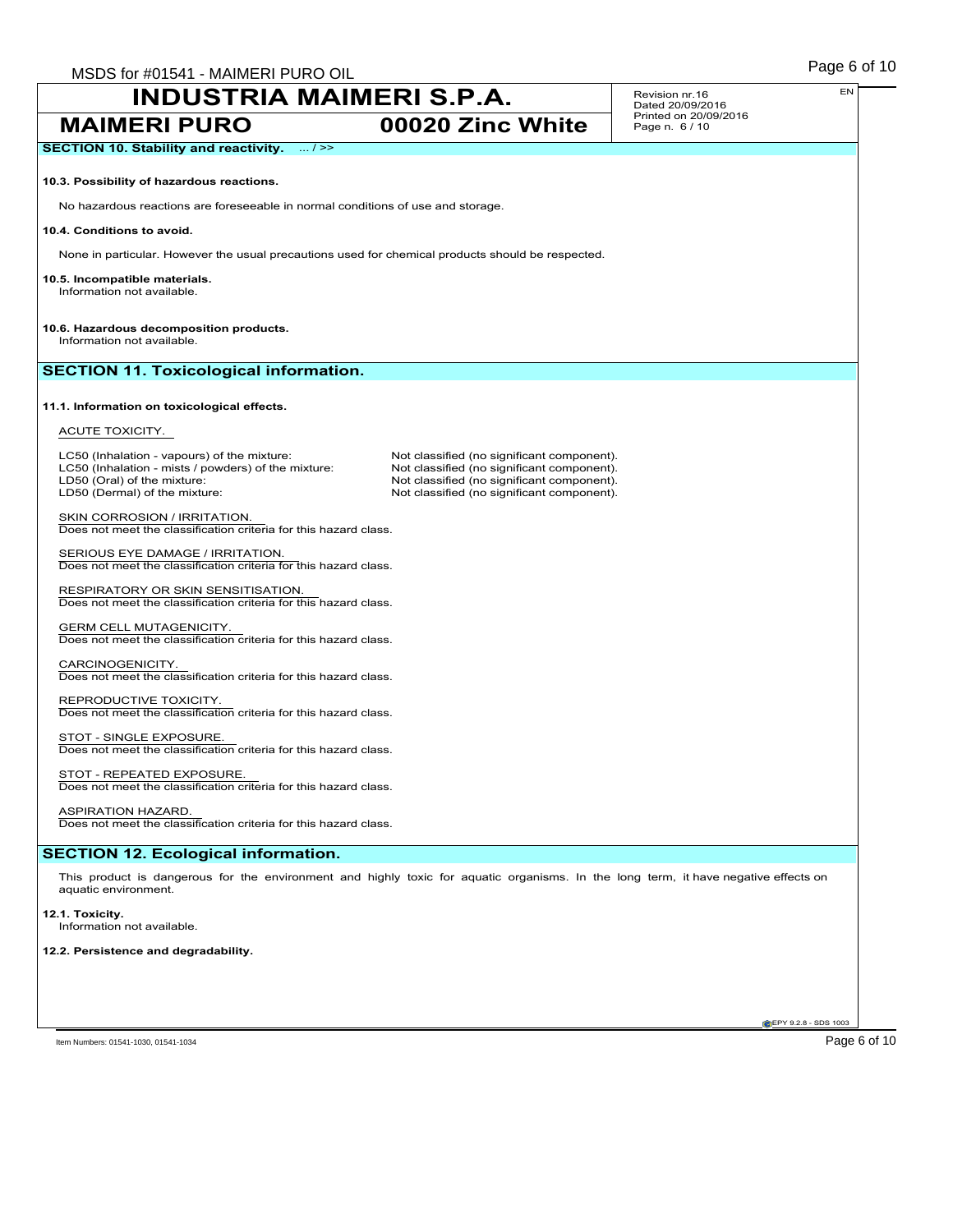Revision nr.16 Dated 20/09/2016 Page n. 6 / 10

**MAIMERI PURO 00020 Zinc White** Printed on 20/09/2016 **SECTION 10. Stability and reactivity.** ... / >> **10.3. Possibility of hazardous reactions.** No hazardous reactions are foreseeable in normal conditions of use and storage. **10.4. Conditions to avoid.** None in particular. However the usual precautions used for chemical products should be respected. **10.5. Incompatible materials.** Information not available. **10.6. Hazardous decomposition products.** Information not available. **SECTION 11. Toxicological information. 11.1. Information on toxicological effects.** ACUTE TOXICITY. LC50 (Inhalation - vapours) of the mixture: Not classified (no significant component).<br>
LC50 (Inhalation - mists / powders) of the mixture: Not classified (no significant component). LC50 (Inhalation - mists / powders) of the mixture:<br>LD50 (Oral) of the mixture: LD50 (Oral) of the mixture: Not classified (no significant component).<br>
LD50 (Dermal) of the mixture: Not classified (no significant component). Not classified (no significant component). SKIN CORROSION / IRRITATION. Does not meet the classification criteria for this hazard class. SERIOUS EYE DAMAGE / IRRITATION. Does not meet the classification criteria for this hazard class. RESPIRATORY OR SKIN SENSITISATION. Does not meet the classification criteria for this hazard class. **GERM CELL MUTAGENICITY** Does not meet the classification criteria for this hazard class. CARCINOGENICITY. Does not meet the classification criteria for this hazard class. REPRODUCTIVE TOXICITY. Does not meet the classification criteria for this hazard class. STOT - SINGLE EXPOSURE. Does not meet the classification criteria for this hazard class. STOT - REPEATED EXPOSURE. Does not meet the classification criteria for this hazard class. ASPIRATION HAZARD. Does not meet the classification criteria for this hazard class. **SECTION 12. Ecological information.** This product is dangerous for the environment and highly toxic for aquatic organisms. In the long term, it have negative effects on aquatic environment. **12.1. Toxicity.** Information not available. **12.2. Persistence and degradability.**

**CEPY 9.2.8 - SDS 1003** 

Item Numbers: 01541-1030, 01541-1034 Page 6 of 10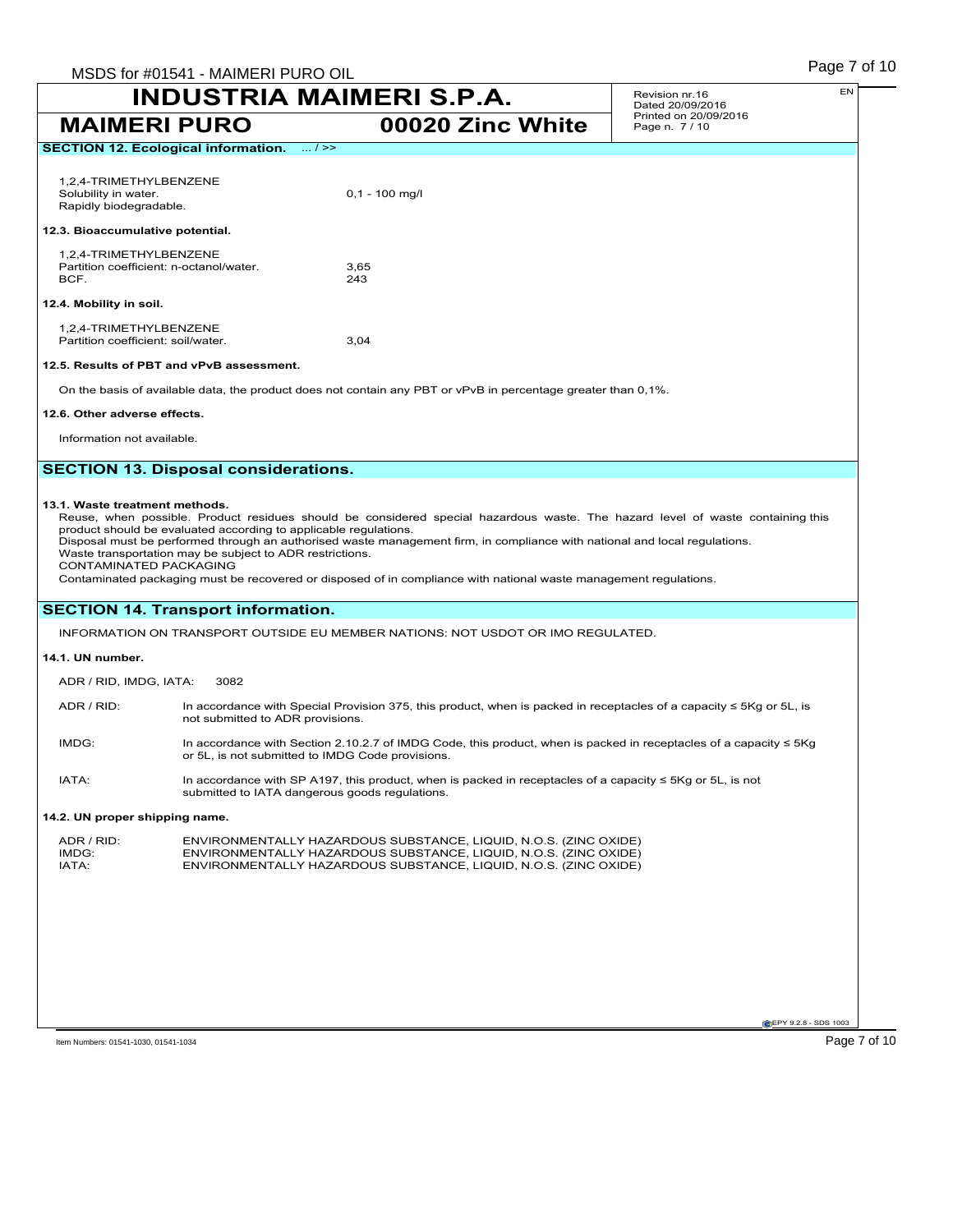| <b>MAIMERI PURO</b>                                                                                                                                                                                                                                                                                                                                                                                                                                                                                                                                                           |                                                  | 00020 Zinc White                                                                                                         | Printed on 20/09/2016<br>Page n. 7/10 |
|-------------------------------------------------------------------------------------------------------------------------------------------------------------------------------------------------------------------------------------------------------------------------------------------------------------------------------------------------------------------------------------------------------------------------------------------------------------------------------------------------------------------------------------------------------------------------------|--------------------------------------------------|--------------------------------------------------------------------------------------------------------------------------|---------------------------------------|
| <b>SECTION 12. Ecological information.</b>                                                                                                                                                                                                                                                                                                                                                                                                                                                                                                                                    | $\ldots$ / >>                                    |                                                                                                                          |                                       |
| 1,2,4-TRIMETHYLBENZENE<br>Solubility in water.<br>Rapidly biodegradable.<br>12.3. Bioaccumulative potential.                                                                                                                                                                                                                                                                                                                                                                                                                                                                  |                                                  | $0,1 - 100$ mg/l                                                                                                         |                                       |
| 1,2,4-TRIMETHYLBENZENE<br>Partition coefficient: n-octanol/water.<br>BCF.                                                                                                                                                                                                                                                                                                                                                                                                                                                                                                     |                                                  | 3,65<br>243                                                                                                              |                                       |
| 12.4. Mobility in soil.                                                                                                                                                                                                                                                                                                                                                                                                                                                                                                                                                       |                                                  |                                                                                                                          |                                       |
| 1,2,4-TRIMETHYLBENZENE<br>Partition coefficient: soil/water.                                                                                                                                                                                                                                                                                                                                                                                                                                                                                                                  |                                                  | 3,04                                                                                                                     |                                       |
| 12.5. Results of PBT and vPvB assessment.                                                                                                                                                                                                                                                                                                                                                                                                                                                                                                                                     |                                                  |                                                                                                                          |                                       |
|                                                                                                                                                                                                                                                                                                                                                                                                                                                                                                                                                                               |                                                  | On the basis of available data, the product does not contain any PBT or vPvB in percentage greater than 0,1%.            |                                       |
| 12.6. Other adverse effects.                                                                                                                                                                                                                                                                                                                                                                                                                                                                                                                                                  |                                                  |                                                                                                                          |                                       |
| Information not available.                                                                                                                                                                                                                                                                                                                                                                                                                                                                                                                                                    |                                                  |                                                                                                                          |                                       |
|                                                                                                                                                                                                                                                                                                                                                                                                                                                                                                                                                                               | <b>SECTION 13. Disposal considerations.</b>      |                                                                                                                          |                                       |
| 13.1. Waste treatment methods.<br>Reuse, when possible. Product residues should be considered special hazardous waste. The hazard level of waste containing this<br>product should be evaluated according to applicable regulations.<br>Disposal must be performed through an authorised waste management firm, in compliance with national and local regulations.<br>Waste transportation may be subject to ADR restrictions.<br>CONTAMINATED PACKAGING<br>Contaminated packaging must be recovered or disposed of in compliance with national waste management regulations. |                                                  |                                                                                                                          |                                       |
| <b>SECTION 14. Transport information.</b>                                                                                                                                                                                                                                                                                                                                                                                                                                                                                                                                     |                                                  |                                                                                                                          |                                       |
|                                                                                                                                                                                                                                                                                                                                                                                                                                                                                                                                                                               |                                                  | INFORMATION ON TRANSPORT OUTSIDE EU MEMBER NATIONS: NOT USDOT OR IMO REGULATED.                                          |                                       |
| 14.1. UN number.                                                                                                                                                                                                                                                                                                                                                                                                                                                                                                                                                              |                                                  |                                                                                                                          |                                       |
| 3082<br>ADR / RID, IMDG, IATA:                                                                                                                                                                                                                                                                                                                                                                                                                                                                                                                                                |                                                  |                                                                                                                          |                                       |
| ADR / RID:                                                                                                                                                                                                                                                                                                                                                                                                                                                                                                                                                                    | not submitted to ADR provisions.                 | In accordance with Special Provision 375, this product, when is packed in receptacles of a capacity $\leq$ 5Kg or 5L, is |                                       |
| IMDG:                                                                                                                                                                                                                                                                                                                                                                                                                                                                                                                                                                         | or 5L, is not submitted to IMDG Code provisions. | In accordance with Section 2.10.2.7 of IMDG Code, this product, when is packed in receptacles of a capacity $\leq$ 5Kg   |                                       |
| IATA:                                                                                                                                                                                                                                                                                                                                                                                                                                                                                                                                                                         | submitted to IATA dangerous goods regulations.   | In accordance with SP A197, this product, when is packed in receptacles of a capacity $\leq$ 5Kg or 5L, is not           |                                       |

### **14.2. UN proper shipping name.**

| ADR / RID: | ENVIRONMENTALLY HAZARDOUS SUBSTANCE, LIQUID, N.O.S. (ZINC OXIDE) |
|------------|------------------------------------------------------------------|
| IMDG:      | ENVIRONMENTALLY HAZARDOUS SUBSTANCE, LIQUID, N.O.S. (ZINC OXIDE) |
| IATA:      | ENVIRONMENTALLY HAZARDOUS SUBSTANCE, LIQUID, N.O.S. (ZINC OXIDE) |

EPY 9.2.8 - SDS 1003

EN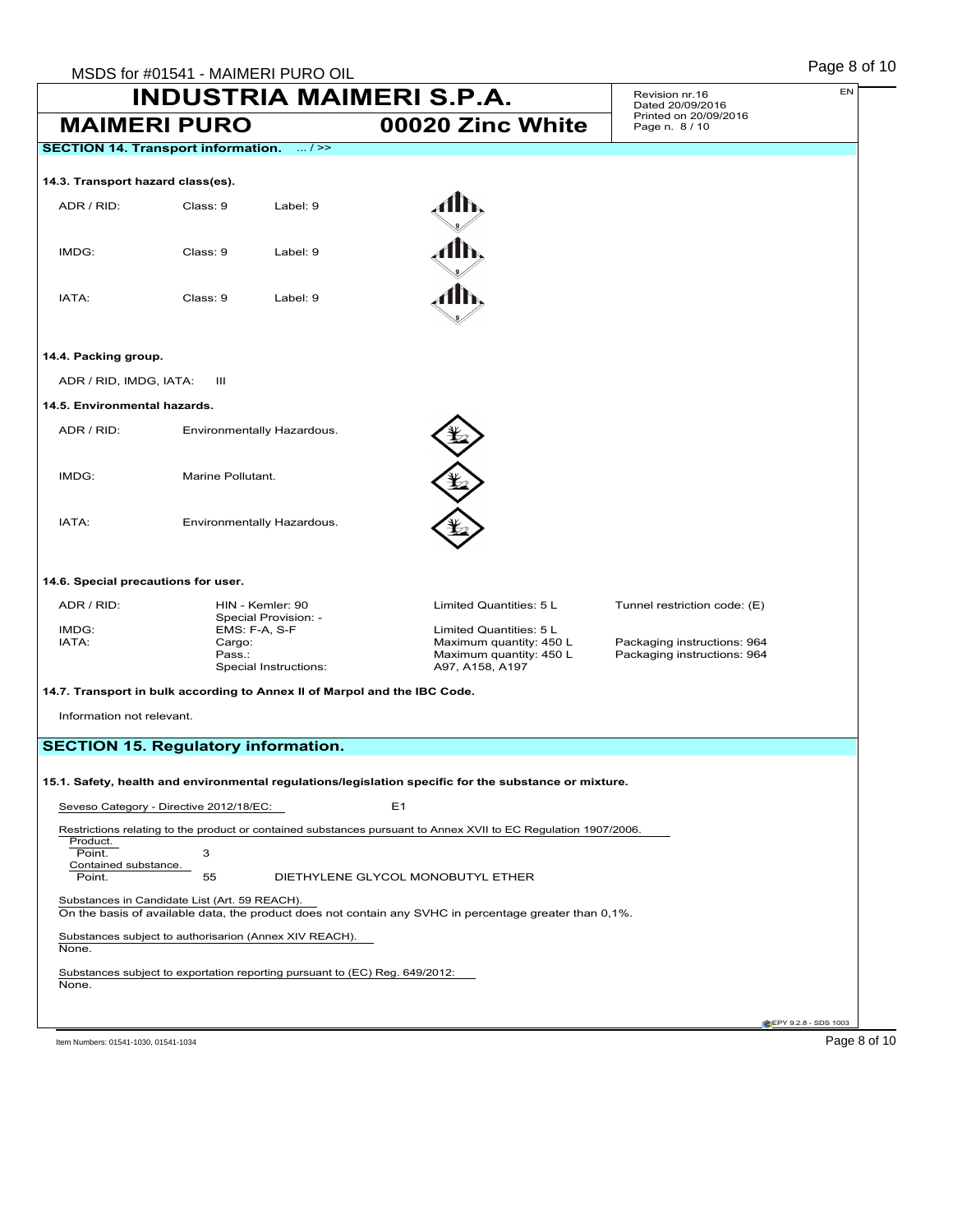|                                     | MSDS for #01541 - MAIMERI PURO OIL<br><b>INDUSTRIA MAIMERI S.P.A.</b>              |                                                                                                                 | Revision nr.16                                             | EN                           |
|-------------------------------------|------------------------------------------------------------------------------------|-----------------------------------------------------------------------------------------------------------------|------------------------------------------------------------|------------------------------|
|                                     | <b>MAIMERI PURO</b>                                                                | 00020 Zinc White                                                                                                | Dated 20/09/2016<br>Printed on 20/09/2016                  |                              |
|                                     | <b>SECTION 14. Transport information.</b><br>$\dots/>>$                            |                                                                                                                 | Page n. 8 / 10                                             |                              |
|                                     |                                                                                    |                                                                                                                 |                                                            |                              |
| 14.3. Transport hazard class(es).   |                                                                                    |                                                                                                                 |                                                            |                              |
| ADR / RID:                          | Class: 9<br>Label: 9                                                               |                                                                                                                 |                                                            |                              |
| IMDG:                               | Class: 9<br>Label: 9                                                               |                                                                                                                 |                                                            |                              |
|                                     |                                                                                    |                                                                                                                 |                                                            |                              |
| IATA:                               | Class: 9<br>Label: 9                                                               |                                                                                                                 |                                                            |                              |
| 14.4. Packing group.                |                                                                                    |                                                                                                                 |                                                            |                              |
| ADR / RID, IMDG, IATA:              | Ш                                                                                  |                                                                                                                 |                                                            |                              |
| 14.5. Environmental hazards.        |                                                                                    |                                                                                                                 |                                                            |                              |
| ADR / RID:                          | Environmentally Hazardous.                                                         |                                                                                                                 |                                                            |                              |
| IMDG:                               | Marine Pollutant.                                                                  |                                                                                                                 |                                                            |                              |
| IATA:                               | Environmentally Hazardous.                                                         |                                                                                                                 |                                                            |                              |
| 14.6. Special precautions for user. |                                                                                    |                                                                                                                 |                                                            |                              |
| ADR / RID:                          | HIN - Kemler: 90                                                                   | Limited Quantities: 5 L                                                                                         | Tunnel restriction code: (E)                               |                              |
| IMDG:<br>IATA:                      | Special Provision: -<br>EMS: F-A, S-F<br>Cargo:<br>Pass.:<br>Special Instructions: | Limited Quantities: 5 L<br>Maximum quantity: 450 L<br>Maximum quantity: 450 L<br>A97, A158, A197                | Packaging instructions: 964<br>Packaging instructions: 964 |                              |
|                                     | 14.7. Transport in bulk according to Annex II of Marpol and the IBC Code.          |                                                                                                                 |                                                            |                              |
| Information not relevant.           |                                                                                    |                                                                                                                 |                                                            |                              |
|                                     | <b>SECTION 15. Regulatory information.</b>                                         |                                                                                                                 |                                                            |                              |
|                                     |                                                                                    |                                                                                                                 |                                                            |                              |
|                                     |                                                                                    | 15.1. Safety, health and environmental regulations/legislation specific for the substance or mixture.           |                                                            |                              |
|                                     | Seveso Category - Directive 2012/18/EC:                                            | E <sub>1</sub>                                                                                                  |                                                            |                              |
| Product.                            |                                                                                    | Restrictions relating to the product or contained substances pursuant to Annex XVII to EC Regulation 1907/2006. |                                                            |                              |
| Point.<br>Contained substance.      | 3                                                                                  |                                                                                                                 |                                                            |                              |
| Point.                              | 55                                                                                 | DIETHYLENE GLYCOL MONOBUTYL ETHER                                                                               |                                                            |                              |
|                                     | Substances in Candidate List (Art. 59 REACH).                                      | On the basis of available data, the product does not contain any SVHC in percentage greater than 0,1%.          |                                                            |                              |
| None.                               | Substances subject to authorisarion (Annex XIV REACH).                             |                                                                                                                 |                                                            |                              |
| None.                               | Substances subject to exportation reporting pursuant to (EC) Reg. 649/2012:        |                                                                                                                 |                                                            |                              |
|                                     |                                                                                    |                                                                                                                 |                                                            | <b>@EPY 9.2.8 - SDS 1003</b> |
|                                     |                                                                                    |                                                                                                                 |                                                            |                              |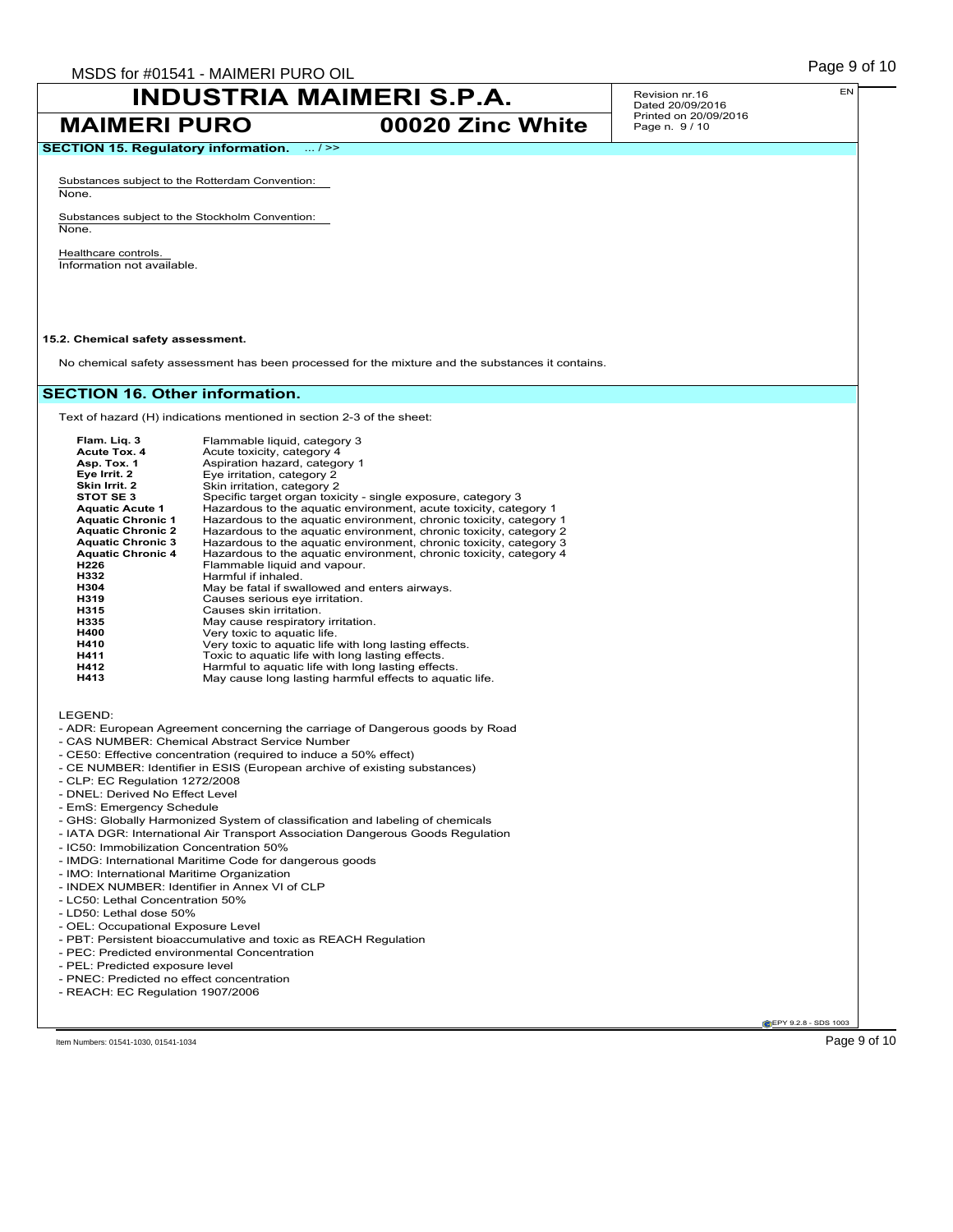**MAIMERI PURO 00020 Zinc White**

Revision nr.16 Dated 20/09/2016 Printed on 20/09/2016 Page n. 9 / 10

**SECTION 15. Regulatory information.** ... / >>

Substances subject to the Rotterdam Convention: None.

Substances subject to the Stockholm Convention: None.

Healthcare controls. Information not available.

### **15.2. Chemical safety assessment.**

No chemical safety assessment has been processed for the mixture and the substances it contains.

### **SECTION 16. Other information.**

Text of hazard (H) indications mentioned in section 2-3 of the sheet:

| Flam. Lig. 3             | Flammable liquid, category 3                                       |
|--------------------------|--------------------------------------------------------------------|
| <b>Acute Tox. 4</b>      | Acute toxicity, category 4                                         |
| Asp. Tox. 1              | Aspiration hazard, category 1                                      |
| Eye Irrit. 2             | Eye irritation, category 2                                         |
| Skin Irrit. 2            | Skin irritation, category 2                                        |
| STOT SE3                 | Specific target organ toxicity - single exposure, category 3       |
| <b>Aquatic Acute 1</b>   | Hazardous to the aquatic environment, acute toxicity, category 1   |
| <b>Aquatic Chronic 1</b> | Hazardous to the aquatic environment, chronic toxicity, category 1 |
| <b>Aquatic Chronic 2</b> | Hazardous to the aquatic environment, chronic toxicity, category 2 |
| <b>Aquatic Chronic 3</b> | Hazardous to the aquatic environment, chronic toxicity, category 3 |
| <b>Aquatic Chronic 4</b> | Hazardous to the aquatic environment, chronic toxicity, category 4 |
| H226                     | Flammable liquid and vapour.                                       |
| H332                     | Harmful if inhaled.                                                |
| H304                     | May be fatal if swallowed and enters airways.                      |
| H319                     | Causes serious eye irritation.                                     |
| H315                     | Causes skin irritation.                                            |
| H335                     | May cause respiratory irritation.                                  |
| H400                     | Very toxic to aquatic life.                                        |
| H410                     | Very toxic to aquatic life with long lasting effects.              |
| H411                     | Toxic to aquatic life with long lasting effects.                   |
| H412                     | Harmful to aquatic life with long lasting effects.                 |
| H413                     | May cause long lasting harmful effects to aquatic life.            |

LEGEND:

- ADR: European Agreement concerning the carriage of Dangerous goods by Road
- CAS NUMBER: Chemical Abstract Service Number
- CE50: Effective concentration (required to induce a 50% effect)
- CE NUMBER: Identifier in ESIS (European archive of existing substances)
- CLP: EC Regulation 1272/2008
- DNEL: Derived No Effect Level
- EmS: Emergency Schedule
- GHS: Globally Harmonized System of classification and labeling of chemicals
- IATA DGR: International Air Transport Association Dangerous Goods Regulation
- IC50: Immobilization Concentration 50%
- IMDG: International Maritime Code for dangerous goods
- IMO: International Maritime Organization
- INDEX NUMBER: Identifier in Annex VI of CLP
- LC50: Lethal Concentration 50%
- LD50: Lethal dose 50%
- OEL: Occupational Exposure Level
- PBT: Persistent bioaccumulative and toxic as REACH Regulation
- PEC: Predicted environmental Concentration
- PEL: Predicted exposure level
- PNEC: Predicted no effect concentration
- REACH: EC Regulation 1907/2006

**CEPY 9.2.8 - SDS 1003** 

EN